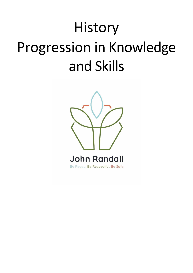# History Progression in Knowledge and Skills

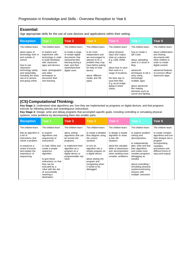| <b>Essential:</b><br>Age appropriate skills for the use of core devices and applications within their setting.                                                                                                              |                                                                                                                                                                                                                                       |                                                                                                                                                                                 |                                                                                                                                                                                                                        |                                                                                                                                                                                                                                                                     |                                                                                                                                                                                                                                                                      |                                                                                                                                                                                                      |  |  |  |
|-----------------------------------------------------------------------------------------------------------------------------------------------------------------------------------------------------------------------------|---------------------------------------------------------------------------------------------------------------------------------------------------------------------------------------------------------------------------------------|---------------------------------------------------------------------------------------------------------------------------------------------------------------------------------|------------------------------------------------------------------------------------------------------------------------------------------------------------------------------------------------------------------------|---------------------------------------------------------------------------------------------------------------------------------------------------------------------------------------------------------------------------------------------------------------------|----------------------------------------------------------------------------------------------------------------------------------------------------------------------------------------------------------------------------------------------------------------------|------------------------------------------------------------------------------------------------------------------------------------------------------------------------------------------------------|--|--|--|
| <b>Reception</b>                                                                                                                                                                                                            | Year 1                                                                                                                                                                                                                                | Year <sub>2</sub>                                                                                                                                                               | Year <sub>3</sub>                                                                                                                                                                                                      | Year 4                                                                                                                                                                                                                                                              | Year 5                                                                                                                                                                                                                                                               | Year <sub>6</sub>                                                                                                                                                                                    |  |  |  |
| The children learn:<br>about types of<br>technology both in<br>and outside of<br>school.<br>how to use<br>classroom<br>technology safely<br>and responsibly,<br>including the basic<br>use of a camera<br>and going online. | The children learn:<br>to explore and<br>experiment with<br>technology in order<br>to build familiarity<br>with classroom<br>apps and devices.<br>basic photographic<br>and video<br>techniques to<br>document their<br>own learning. | The children learn:<br>to create a range<br>of simple digital<br>documents that<br>represents their<br>learning during a<br>topic and then<br>save/share their<br>digital work. | The children learn:<br>to be more<br>independent and<br>are encouraged to<br>attempt to fix a<br>problem they may<br>have before asking<br>for help on their<br>device.<br>about different<br>media and file<br>types. | The children learn:<br>about physical<br>input and output<br>slots on a device.<br>E.g. USB, HDMI,<br>etc.<br>about how to save<br>their work in a<br>range of locations.<br>the best way to<br>save their files.<br>E.g. as an image<br>(ipeg) to share<br>online. | The children learn:<br>how to create a<br>QR Code.<br>about uploading<br>work to a cloud or<br>blog.<br>advanced<br>techniques to tell a<br>story using<br>technology/<br>multiple apps.<br>about advanced<br>film making<br>elements such as<br>sound and lighting. | The children learn:<br>about collaboration<br>and sharing<br>documents with<br>other children in<br>order to create<br>digital content.<br>advanced features<br>of common office/<br>classroom apps. |  |  |  |

#### **(CS) Computational Thinking:**

**Key Stage 1:** Understand what algorithms are; how they are implemented as programs on digital devices; and that programs execute by following precise and unambiguous instructions.

**Key Stage 2:** Design, write and debug programs that accomplish specific goals, including controlling or simulating physical systems; solve problems by decomposing them into smaller parts.

| <b>Reception</b>                                                                                                                                                    | Year <sub>1</sub>                                                                                                                                                                                                                                                                  | Year <sub>2</sub>                                                                                                                                                               | Year <sub>3</sub>                                                                                                                                                                                                                        | Year 4                                                                                                                                                                              | Year <sub>5</sub>                                                                                                                                                                                                                                                                              | Year <sub>6</sub>                                                                                                                                                         |
|---------------------------------------------------------------------------------------------------------------------------------------------------------------------|------------------------------------------------------------------------------------------------------------------------------------------------------------------------------------------------------------------------------------------------------------------------------------|---------------------------------------------------------------------------------------------------------------------------------------------------------------------------------|------------------------------------------------------------------------------------------------------------------------------------------------------------------------------------------------------------------------------------------|-------------------------------------------------------------------------------------------------------------------------------------------------------------------------------------|------------------------------------------------------------------------------------------------------------------------------------------------------------------------------------------------------------------------------------------------------------------------------------------------|---------------------------------------------------------------------------------------------------------------------------------------------------------------------------|
| The children learn:                                                                                                                                                 | The children learn:                                                                                                                                                                                                                                                                | The children learn:                                                                                                                                                             | The children learn:                                                                                                                                                                                                                      | The children learn:                                                                                                                                                                 | The children learn:                                                                                                                                                                                                                                                                            | The children learn:                                                                                                                                                       |
| that an algorithm is<br>a list of<br>instructions that<br>solves a problem.<br>to sequence a<br>series of events<br>and explain the<br>importance of<br>sequencing. | to explore<br>algorithms and<br>sequencing of<br>instructions.<br>to read, follow and<br>create a simple<br>sequence<br>algorithm.<br>to give these<br>instructions so that<br>they can be<br>executed by a<br>robot with the aim<br>of successfully<br>reaching a<br>destination. | about writing<br>algorithms that can<br>be turned into<br>programs.<br>to implement their<br>algorithm as a<br>program on a<br>digital device or<br>programmable toy/<br>robot. | to create a detailed<br>flow diagram using<br>the correct<br>symbols.<br>to turn an<br>algorithm into a<br>simple program on<br>a digital device.<br>about testing the<br>program and<br>recognising when<br>it needs to be<br>debugged. | to design a simple<br>algorithm to show<br>a real-life<br>situation.<br>about the valuable<br>skills of abstraction<br>and decomposition<br>when tackling more<br>complex problems. | to explore problem<br>solving and<br>decomposition.<br>to independently<br>plan, write and test<br>their algorithms<br>and create more<br>complex programs,<br>debugging as<br>needed.<br>about controlling/<br>simulating physical<br>systems and using<br>sensors with<br>multiple outcomes. | to create complex<br>algorithms and turn<br>their designs into a<br>program<br>(incorporating<br>variables.<br>procedures and<br>different forms of<br>input and output). |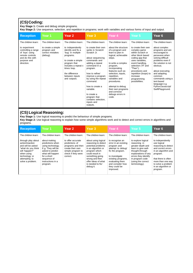# **(CS)Coding:**

**Key Stage 1:** Create and debug simple programs.

**Key Stage 2:** Use sequence, selection, and repetition in programs; work with variables and various forms of input and output.

| <b>Reception</b>                                                                                                            | Year 1                                                            | Year <sub>2</sub>                                                                                                                                                                                        | Year 3                                                                                                                                                                                                                                                                                                                                | Year 4                                                                                                                                                                                                                                                                                                                           | Year 5                                                                                                                                                                                                                                                            | Year 6                                                                                                                                                                                                                                                                                     |
|-----------------------------------------------------------------------------------------------------------------------------|-------------------------------------------------------------------|----------------------------------------------------------------------------------------------------------------------------------------------------------------------------------------------------------|---------------------------------------------------------------------------------------------------------------------------------------------------------------------------------------------------------------------------------------------------------------------------------------------------------------------------------------|----------------------------------------------------------------------------------------------------------------------------------------------------------------------------------------------------------------------------------------------------------------------------------------------------------------------------------|-------------------------------------------------------------------------------------------------------------------------------------------------------------------------------------------------------------------------------------------------------------------|--------------------------------------------------------------------------------------------------------------------------------------------------------------------------------------------------------------------------------------------------------------------------------------------|
| The children learn:                                                                                                         | The children learn:                                               | The children learn:                                                                                                                                                                                      | The children learn:                                                                                                                                                                                                                                                                                                                   | The children learn:                                                                                                                                                                                                                                                                                                              | The children learn:                                                                                                                                                                                                                                               | The children learn:                                                                                                                                                                                                                                                                        |
| to experiment<br>controlling a range<br>of 'toys' using<br>remote controls<br>and do this with<br>purpose and<br>direction. | to create a simple<br>program and<br>correct mistakes<br>(debug). | to independently<br>identify and fix a<br>'bug' in multiple<br>programs.<br>to create a simple<br>program that<br>includes a repeat x<br>times loop.<br>the difference<br>between inputs<br>and outputs. | to create their own<br>sprite in Scratch/<br>Scratch Jr.<br>about sequencing<br>commands and<br>adding a repeat<br>command in a<br>program.<br>how to refine/<br>improve a program<br>by using the repeat<br>command.<br>how to create a<br>variable.<br>to create a<br>program that<br>contains selection.<br>inputs and<br>outputs. | about the structure<br>of a program and<br>learn to plan in<br>logical, achievable<br>steps.<br>to write a complex<br>program,<br>incorporating<br>features such as<br>selection, inputs,<br>repetition,<br>variables and<br>procedures.<br>attempt to debug<br>their own programs<br>and corrects/<br>debugs errors in<br>code. | to create their own<br>complex game<br>within Scratch or<br>other block based<br>coding app that<br>uses variables.<br>event handling,<br>selection ("If" and<br>"Then"),<br>procedures and<br>repetition (loops) to<br>increase<br>programming<br>possibilities. | about complex<br>programs and are<br>encouraged to<br>persevere when<br>solving difficult<br>problems even if<br>the solution is not<br>obvious.<br>about executing<br>and adapting<br>common<br>commands using a<br>text-based<br>language e.g.<br>Python/Javascript/<br>SwiftPlayground. |

#### **(CS) Logical Reasoning:**

**Key Stage 1:** Use logical reasoning to predict the behaviour of simple programs.

**Key Stage 2:** Use logical reasoning to explain how some simple algorithms work and to detect and correct errors in algorithms and programs.

| <b>Reception</b>                                                                                                                                                                             | Year 1                                                                                                                                                                                                   | Year <sub>2</sub>                                                                                                                                          | Year <sub>3</sub>                                                                                                                                                                                                                  | Year 4                                                                                                                                                                                                | Year 5                                                                                                                                                                                                                            | Year 6                                                                                                                                                                                                   |
|----------------------------------------------------------------------------------------------------------------------------------------------------------------------------------------------|----------------------------------------------------------------------------------------------------------------------------------------------------------------------------------------------------------|------------------------------------------------------------------------------------------------------------------------------------------------------------|------------------------------------------------------------------------------------------------------------------------------------------------------------------------------------------------------------------------------------|-------------------------------------------------------------------------------------------------------------------------------------------------------------------------------------------------------|-----------------------------------------------------------------------------------------------------------------------------------------------------------------------------------------------------------------------------------|----------------------------------------------------------------------------------------------------------------------------------------------------------------------------------------------------------|
| The children learn:<br>through play about<br>action/reaction<br>and will be asked<br>"what do you think<br>will happen?"<br>when using<br>technology or<br>attempting to<br>solve a problem. | The children learn:<br>about making<br>predictions when<br>using technology.<br>E.g. They will be<br>asked to predict<br>what will happen<br>for a short<br>sequence of<br>instructions in a<br>program. | The children learn:<br>to offer accurate<br>predictions of<br>programs and then<br>create their own<br>simple program to<br>check if they were<br>correct. | The children learn:<br>about using logical<br>reasoning to detect<br>potential problems<br>in an algorithm or<br>program which<br>could result in<br>something going<br>wrong and then<br>offer ideas of what<br>is needed to fix/ | The children learn:<br>to recognise an<br>error in an existing<br>program and<br>attempt to debug/<br>fix the program.<br>to investigate<br>existing programs,<br>evaluating them<br>and consider how | The children learn:<br>to explore logical<br>reasoning in<br>greater depth and<br>learn to give well-<br>thought-through<br>explanations of any<br>errors they identify<br>in program code<br>(using the correct<br>terminology). | The children learn:<br>to independently<br>use logical<br>reasoning to detect<br>and correct errors<br>in an algorithm and<br>program.<br>that there is often<br>more than one way<br>to solve a problem |
|                                                                                                                                                                                              |                                                                                                                                                                                                          |                                                                                                                                                            | debug it.                                                                                                                                                                                                                          | they could be<br>improved.                                                                                                                                                                            |                                                                                                                                                                                                                                   | in an algorithm or<br>program.                                                                                                                                                                           |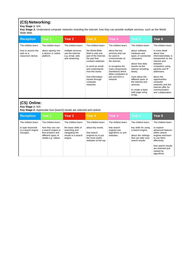# **(CS) Networking:**

#### **Key Stage 1:** N/A

**Key Stage 2:** Understand computer networks including the internet; how they can provide multiple services, such as the World Wide Web.

| <b>Reception</b>                                   | Year 1                                                | Year <sub>2</sub>                                                          | Year <sub>3</sub>                                                                                                                                           | Year 4                                                                                                                                                               | Year 5                                                                                                                                    | Year 6                                                                                                                                                 |
|----------------------------------------------------|-------------------------------------------------------|----------------------------------------------------------------------------|-------------------------------------------------------------------------------------------------------------------------------------------------------------|----------------------------------------------------------------------------------------------------------------------------------------------------------------------|-------------------------------------------------------------------------------------------------------------------------------------------|--------------------------------------------------------------------------------------------------------------------------------------------------------|
| The children learn:                                | The children learn:                                   | The children learn:                                                        | The children learn:                                                                                                                                         | The children learn:                                                                                                                                                  | The children learn:                                                                                                                       | The children learn:                                                                                                                                    |
| how to access the<br>web on a<br>classroom device. | about signing into<br>a device or online<br>platform. | multiple services<br>use the internet<br>e.g. email, web<br>and streaming. | the World Wide<br>Web is only one<br>part of the Internet,<br>the part that<br>contains websites.<br>to send an email<br>and understands<br>how this works. | about the key<br>services that can<br>be used to<br>communicate on<br>the internet.<br>to recognise the<br>main components<br>(hardware) which<br>allow computers to | about software,<br>hardware and<br>types of connected<br>computers.<br>about how data<br>travels via the<br>internet including<br>binary. | in more detail<br>about how<br>information/data is<br>transported on the<br>Internet and<br>between<br>computers using<br>packets and IP<br>addresses. |
|                                                    |                                                       |                                                                            | how information<br>travels through<br>computer<br>networks.                                                                                                 | join and form a<br>network.                                                                                                                                          | more about the<br>different parts of<br>the Internet and<br>services.<br>to create a basic<br>web page using<br>HTML.                     | about the<br>opportunities<br>computer<br>networks and the<br>internet offer for<br>communication<br>and collaboration.                                |

# **(CS) Online:**

#### **Key Stage 1:** N/A

**Key Stage 2:** Appreciate how [search] results are selected and ranked.

| <b>Reception</b>                                    | Year 1                                                                                                 | Year <sub>2</sub>                                                                        | Year <sub>3</sub>                                                                                | Year 4                                                        | Year 5                                                                                                   | Year 6                                                                                                                                                                     |
|-----------------------------------------------------|--------------------------------------------------------------------------------------------------------|------------------------------------------------------------------------------------------|--------------------------------------------------------------------------------------------------|---------------------------------------------------------------|----------------------------------------------------------------------------------------------------------|----------------------------------------------------------------------------------------------------------------------------------------------------------------------------|
| The children learn:                                 | The children learn:                                                                                    | The children learn:                                                                      | The children learn:                                                                              | The children learn:                                           | The children learn:                                                                                      | The children learn:                                                                                                                                                        |
| to type keywords<br>in a search engine<br>(Google). | how they can use<br>a search engine to<br>find answers and<br>different types of<br>media e.g. videos. | the basic skills of<br>searching and<br>navigating the<br>results in a search<br>engine. | about key words.<br>that search<br>engines try to put<br>the most useful<br>websites at the top. | that search<br>engines use<br>algorithms to sort<br>websites. | key skills for using<br>a search engine.<br>about the settings<br>that can alter your<br>search results. | to explore<br>advanced features<br>within search<br>engines and learn<br>to use them<br>effectively.<br>how search results<br>are selected and<br>ranked by<br>algorithms. |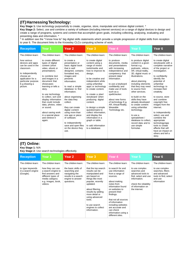#### **(IT)HarnessingTechnology:**

**Key Stage 1:** Use technology purposefully to create, organise, store, manipulate and retrieve digital content. \*

**Key Stage 2:** Select, use and combine a variety of software (including internet services) on a range of digital devices to design and create a range of programs, systems and content that accomplish given goals, including collecting, analysing, evaluating and presenting data and information. \*

\* In addition see the "I know how to" big digital skills statements which provide a simple progression of digital skills from reception to year 6. The document links to the Knowsley CLCs computing scheme of work.

| <b>Reception</b>                                                                                                                                                              | Year 1                                                                                                                                                                                                                                                                                                                                                                                                    | Year <sub>2</sub>                                                                                                                                                                                                                                                                                                                                                                                                                      | Year <sub>3</sub>                                                                                                                                                                                                                                                                                                                                                                                                                                                  | Year 4                                                                                                                                                                                                                                                                                                                                    | Year 5                                                                                                                                                                                                                                                                                                                                                                                                                                                                      | Year <sub>6</sub>                                                                                                                                                                                                                                                                                                                                                                                                                                                                              |
|-------------------------------------------------------------------------------------------------------------------------------------------------------------------------------|-----------------------------------------------------------------------------------------------------------------------------------------------------------------------------------------------------------------------------------------------------------------------------------------------------------------------------------------------------------------------------------------------------------|----------------------------------------------------------------------------------------------------------------------------------------------------------------------------------------------------------------------------------------------------------------------------------------------------------------------------------------------------------------------------------------------------------------------------------------|--------------------------------------------------------------------------------------------------------------------------------------------------------------------------------------------------------------------------------------------------------------------------------------------------------------------------------------------------------------------------------------------------------------------------------------------------------------------|-------------------------------------------------------------------------------------------------------------------------------------------------------------------------------------------------------------------------------------------------------------------------------------------------------------------------------------------|-----------------------------------------------------------------------------------------------------------------------------------------------------------------------------------------------------------------------------------------------------------------------------------------------------------------------------------------------------------------------------------------------------------------------------------------------------------------------------|------------------------------------------------------------------------------------------------------------------------------------------------------------------------------------------------------------------------------------------------------------------------------------------------------------------------------------------------------------------------------------------------------------------------------------------------------------------------------------------------|
| The children learn:                                                                                                                                                           | The children learn:                                                                                                                                                                                                                                                                                                                                                                                       | The children learn:                                                                                                                                                                                                                                                                                                                                                                                                                    | The children learn:                                                                                                                                                                                                                                                                                                                                                                                                                                                | The children learn:                                                                                                                                                                                                                                                                                                                       | The children learn:                                                                                                                                                                                                                                                                                                                                                                                                                                                         | The children learn:                                                                                                                                                                                                                                                                                                                                                                                                                                                                            |
| how various<br>devices and apps<br>can be used in the<br>classroom.<br>to independently<br>choose an<br>application for a<br>particular purpose.<br>E.g drawing a<br>picture. | to create different<br>types of digital<br>content (short<br>video, ebook or<br>presentation).<br>to combine text<br>and images in a<br>document that<br>showcases<br>learning or tells a<br>story.<br>to use technology<br>to collect, sort and<br>display information<br>that could include<br>data, photos, video<br>or sound.<br>about saving work<br>in a special place<br>and retrieve it<br>again. | to create a<br>presentation or<br>basic digital book<br>that is well<br>designed, contains<br>formatted text.<br>images and<br>presents<br>information.<br>to read a simple<br>database to find<br>information.<br>about organising<br>the data they<br>collect.<br>they can create<br>digital content<br>using more than<br>one app or piece<br>of software.<br>to independently<br>save and open files<br>on the device they<br>use. | to create digital<br>content using a<br>range of mixed<br>tools/media and<br>how to improve its<br>design.<br>to be creative and<br>independent while<br>using unfamiliar<br>apps or technology<br>to create content.<br>to create a plan/<br>storyboard when<br>producing digital<br>content.<br>to design a simple<br>questionnaire to<br>collect information.<br>and display the<br>information in a<br>graph or table.<br>to add information<br>to a database. | to produce<br>documents, media<br>and presentations<br>with increasing<br>independence and<br>competency that<br>present data/<br>information.<br>to use a keyboard<br>confidently and<br>make use of tools<br>such as a<br>spellchecker.<br>about new forms<br>of technology E.g.<br>AR, Virtual Reality,<br>Wearable<br>Technology etc. | to produce digital<br>content in a given<br>format e.g.<br>podcasts, videos,<br>AR, virtual reality,<br>3D, digital music or<br>illustrations.<br>about planning<br>including elements<br>that they may need<br>to source from<br>other services.<br>to build on the<br>skills they have<br>already developed<br>to create content<br>using unfamiliar<br>technology.<br>to use a<br>spreadsheet /<br>database to collect.<br>record data and to<br>use simple<br>formulae. | to create digital<br>storyboards with a<br>complete narrative<br>of the project or<br>investigation.<br>to confidently<br>identify the<br>potential of<br>unfamiliar<br>technology to<br>increase their<br>creativity.<br>to source, store<br>and combine<br>copyright free<br>images from the<br>internet.<br>to independently<br>select, use and<br>combine the<br>appropriate<br>technology/app<br>tools to create<br>effects that will<br>have an impact on<br>others and tell a<br>story. |

## **(IT) Online:**

**Key Stage 1:** N/A

**Key Stage 2:** Use search technologies effectively.

| <b>Reception</b>                                    | Year 1                                                                                                                              | Year <sub>2</sub>                                                                                               | Year <sub>3</sub>                                                                                                                                                                                                                                                          | Year 4                                                                                                                                                                                                                                                                                                             | Year 5                                                                                                                                                     | Year <sub>6</sub>                                                                                      |
|-----------------------------------------------------|-------------------------------------------------------------------------------------------------------------------------------------|-----------------------------------------------------------------------------------------------------------------|----------------------------------------------------------------------------------------------------------------------------------------------------------------------------------------------------------------------------------------------------------------------------|--------------------------------------------------------------------------------------------------------------------------------------------------------------------------------------------------------------------------------------------------------------------------------------------------------------------|------------------------------------------------------------------------------------------------------------------------------------------------------------|--------------------------------------------------------------------------------------------------------|
| The children learn:                                 | The children learn:                                                                                                                 | The children learn:                                                                                             | The children learn:                                                                                                                                                                                                                                                        | The children learn:                                                                                                                                                                                                                                                                                                | The children learn:                                                                                                                                        | The children learn:                                                                                    |
| to type keywords<br>in a search engine<br>(Google). | how they can use<br>a search engine to<br>find answers and<br>different types of<br>media category<br>e.g. images, book,<br>videos. | the basic skills of<br>searching and<br>navigating the<br>results in a search<br>engine to answer<br>questions. | that the top search<br>results can be<br>manipulated and<br>are based on<br>things like most<br>popular, recently<br>updated.<br>about filtering<br>results by adding<br>more detail or<br>using advanced<br>tools.<br>to use search<br>engines to collect<br>information. | to search for and<br>use information<br>from a range of<br>sources.<br>about making<br>notes from<br>information found<br>on websites to<br>present their<br>findings.<br>that not all sources<br>of information<br>including websites<br>are accurate and<br>can check<br>information using a<br>different sites. | to use complex<br>searches and<br>advanced tools to<br>find, select and use<br>information.<br>check the reliability<br>of information on<br>the internet. | to use complex<br>searches, filters<br>and advanced<br>tools to find, select<br>and use<br>information |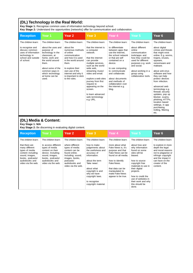## **(DL) Technology in the Real World:**

**Key Stage 1:** Recognise common uses of information technology beyond school.

**Key Stage 2:** Understand the opportunities [networks] offer for communication and collaboration.

video via the web.

| <b>Reception</b>                                                                                                                                       | Year 1                                                                                                                                                                                                      | Year <sub>2</sub>                                                                                                                                                                                                        | Year <sub>3</sub>                                                                                                                                                                                                                                                                                                                 | Year 4                                                                                                                                                                                                                                                                               | Year 5                                                                                                                                                                                                    | Year <sub>6</sub>                                                                                                                                                                                                                                                                                                                                                                                                                                    |
|--------------------------------------------------------------------------------------------------------------------------------------------------------|-------------------------------------------------------------------------------------------------------------------------------------------------------------------------------------------------------------|--------------------------------------------------------------------------------------------------------------------------------------------------------------------------------------------------------------------------|-----------------------------------------------------------------------------------------------------------------------------------------------------------------------------------------------------------------------------------------------------------------------------------------------------------------------------------|--------------------------------------------------------------------------------------------------------------------------------------------------------------------------------------------------------------------------------------------------------------------------------------|-----------------------------------------------------------------------------------------------------------------------------------------------------------------------------------------------------------|------------------------------------------------------------------------------------------------------------------------------------------------------------------------------------------------------------------------------------------------------------------------------------------------------------------------------------------------------------------------------------------------------------------------------------------------------|
| The children learn:                                                                                                                                    | The children learn:                                                                                                                                                                                         | The children learn:                                                                                                                                                                                                      | The children learn:                                                                                                                                                                                                                                                                                                               | The children learn:                                                                                                                                                                                                                                                                  | The children learn:                                                                                                                                                                                       | The children learn:                                                                                                                                                                                                                                                                                                                                                                                                                                  |
| to recognise and<br>discuss common<br>uses of information<br>technology in<br>school and outside<br>of school.                                         | about the uses and<br>purpose of<br>technology in the<br>classroom, at<br>home, work and<br>the world around<br>them.<br>about some of the<br>common ways in<br>which technology<br>at home can be<br>used. | about the<br>numerous methods<br>of online<br>communication<br>and how it is used<br>in the world around<br>them.<br>to explore their<br>own use of the<br>internet and why it<br>is important to stick<br>to the rules. | that the internet is<br>a computer<br>network.<br>that the internet<br>can provide<br>multiple services.<br>such as the world<br>wide web.<br>streaming music/<br>video and email.<br>explore a web sites<br>journey from first<br>request to<br>appearing on the<br>screen.<br>to learn advanced<br>web terminology<br>e.g. URL. | to differentiate<br>between apps that<br>use the Internet,<br>the school network<br>or that are self<br>contained on a<br>device.<br>to use computing<br>to communicate<br>and collaborate.<br>about documents<br>and methods of<br>collaboration over<br>the internet e.g.<br>blog. | about different<br>online<br>communication<br>tools/apps and<br>how they could be<br>used for different<br>purposes e.g. work<br>and social.<br>about working in a<br>group using<br>collaborative tools. | about digital<br>crimes and threats<br>that might exist<br>online. E.g. worms,<br>trojans, viruses,<br>spyware,<br>ransomware and<br>malware.<br>about anti-virus<br>software and how<br>they can help<br>protect devices<br>from infection.<br>advanced web<br>terminology e.g.<br>firewall, security<br>updates, pop up<br>blocker, scams,<br>phishing, HTTPs,<br>location based<br>settings, in app<br>purchasing,<br>trolling, filtering<br>etc. |
| (DL) Media & Content:<br>Key Stage 1: N/A                                                                                                              | Key Stage 2: Be discerning in evaluating digital content.                                                                                                                                                   |                                                                                                                                                                                                                          |                                                                                                                                                                                                                                                                                                                                   |                                                                                                                                                                                                                                                                                      |                                                                                                                                                                                                           |                                                                                                                                                                                                                                                                                                                                                                                                                                                      |
| <b>Reception</b>                                                                                                                                       | Year 1                                                                                                                                                                                                      | Year <sub>2</sub>                                                                                                                                                                                                        | Year <sub>3</sub>                                                                                                                                                                                                                                                                                                                 | Year 4                                                                                                                                                                                                                                                                               | Year 5                                                                                                                                                                                                    | Year <sub>6</sub>                                                                                                                                                                                                                                                                                                                                                                                                                                    |
| The children learn:                                                                                                                                    | The children learn:                                                                                                                                                                                         | The children learn:                                                                                                                                                                                                      | The children learn:                                                                                                                                                                                                                                                                                                               | The children learn:                                                                                                                                                                                                                                                                  | The children learn:                                                                                                                                                                                       | The children learn:                                                                                                                                                                                                                                                                                                                                                                                                                                  |
| that there are<br>many different<br>types of media<br>content including;<br>sound, images,<br>books, podcasts/<br>audiobooks and<br>video via the web. | to access different<br>types of media<br>content on their<br>device. Including;<br>sound, images,<br>books, podcasts/<br>audiobooks and<br>video via the web.                                               | where different<br>types of media<br>content can be<br>found online.<br>Including; sound,<br>images, books,<br>podcasts/<br>audiobooks and                                                                               | how to make<br>judgements about<br>the usefulness and<br>accuracy of<br>information.<br>about the term<br>'fake news'.                                                                                                                                                                                                            | more about what<br>Fake News is, it's<br>purpose and that<br>Fake News can be<br>found on all media.<br>how to identify<br>Fake News.                                                                                                                                                | about how and<br>why information<br>found on some<br>sites will be<br>biased.<br>how to source<br>copyright free                                                                                          | to explore in more<br>depth the legal<br>and moral reasons<br>not to plagiarise or<br>infringe copyright<br>and the impact it<br>can have on the<br>creator of the                                                                                                                                                                                                                                                                                   |

about what copyright is and why we have copyright laws. to recognise copyright material. that data can be manipulated to make Fake News appear to be true.

materials to use in their digital projects.

content.

how to credit the use of websites in their work and why this should be done.